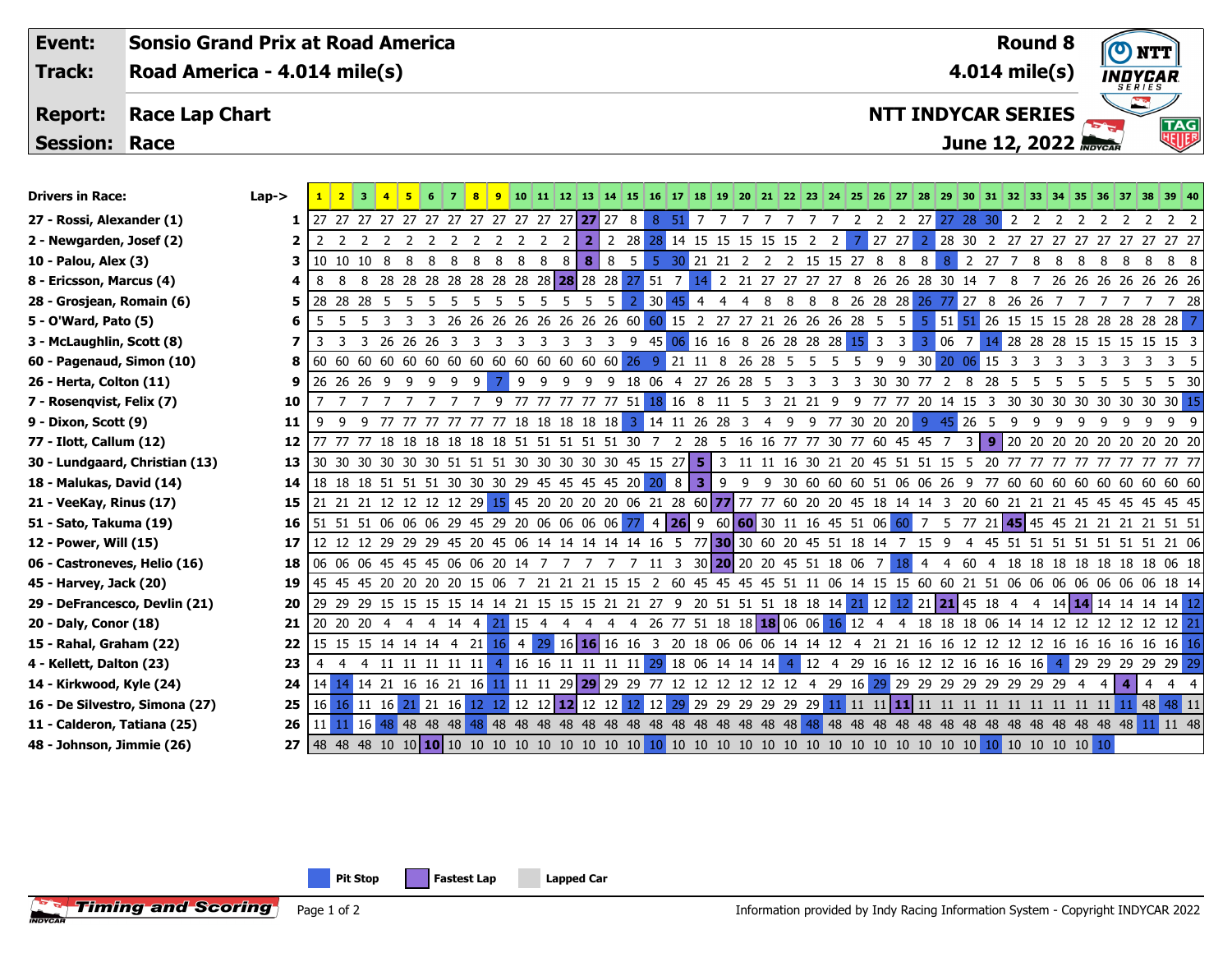**Event: Sonsio Grand Prix at Road America Round 8Track: Road America - 4.014 mile(s) 4.014 mile(s) INDYCAR NTT INDYCAR SERIES Report: Race Lap Chart June 12, 2022 Session: Race** Drivers in Race: Lap-> <mark> 1 2 3 4 5 6 7 8 9 </mark> 10 11 12 13 14 15 16 17 18 19 <mark>19 19 20 21 22 23 24 25 26 27 28 29 30 31 32 33</mark> 34 35 36 37 38 39 40 **27 - Rossi, Alexander (1)** 

- **7 Rosenqvist, Felix (7)**
- 
- **77 Ilott, Callum (12) 12** 77 77 77 18 18 18 18 18 18 51 51 51 51 51 30 7 2 28 5 16 16 77 77 30 77 60 45 45 7 3 **9** 20 20 20 20 20 20 20 20 20
- **30 Lundgaard, Christian (13) 13** 30 30 30 30 30 30 51 51 51 30 30 30 30 30 45 15 27 **5** 3 11 11 16 30 21 20 45 51 51 15 5 20 77 77 77 77 77 77 77 77 77
- **18 Malukas, David (14)**
- **21 VeeKay, Rinus (17)**
- **51 Sato, Takuma (19) 16** 51 51 51 06 06 06 29 45 29 20 06 06 06 06 77 4 **26** 9 60 **60** 30 11 16 45 51 06 60 7 5 77 21 **45** 45 45 21 21 21 21 51 51
- **12 Power, Will (15)**
- **06 Castroneves, Helio (16)**
- **45 Harvey, Jack (20) 19** 45 45 45 20 20 20 20 15 06 7 21 21 21 15 15 2 60 45 45 45 45 51 11 06 14 15 15 60 60 21 51 06 06 06 06 06 06 06 18 14
- **29 DeFrancesco, Devlin (21) 20** 29 29 29 15 15 15 15 14 14 21 15 15 15 21 21 27 9 20 51 51 51 18 18 14 21 12 12 21 **21** 45 18 4 4 14 **14** 14 14 14 14 12
- **20 Daly, Conor (18)**
- **15 Rahal, Graham (22) 22** 15 15 15 14 14 14 4 21 16 4 29 16 **16** 16 16 3 20 18 06 06 06 14 14 12 4 21 21 16 16 12 12 12 12 16 16 16 16 16 16 16
- **4 Kellett, Dalton (23) 23** 4 4 4 11 11 11 11 11 4 16 16 11 11 11 11 29 18 06 14 14 14 4 12 4 29 16 16 12 12 16 16 16 16 4 29 29 29 29 29 29
- **14 Kirkwood, Kyle (24) 24** 14 14 14 21 16 16 21 16 11 11 11 29 **29** 29 29 77 12 12 12 12 12 12 4 29 16 29 29 29 29 29 29 29 29 29 4 4 **4** 4 4 4
- **16 De Silvestro, Simona (27)**
- **11 Calderon, Tatiana (25) 26** 11 11 16 48 48 48 48 48 48 48 48 48 48 48 48 48 48 48 48 48 48 48 48 48 48 48 48 48 48 48 48 48 48 48 48 48 48 11 11 48
- **48 Johnson, Jimmie (26) 27** 48 48 48 10 10 **10** 10 10 10 10 10 10 10 10 10 10 10 10 10 10 10 10 10 10 10 10 10 10 10 10 10 10 10 10 10 10

| <b>Drivers in Race:</b>        | $Lap->$ |      |     |                                                                                                      |                                                                 |    |                                                             | 8 <sup>1</sup><br>9 |   |    |           |                         |                         |              |                                                           |                |   |   |    |   |                             |    |       |                         |                  |                 |            |         |   |             | 10 11 12 13 14 15 16 17 18 19 20 21 22 23 24 25 26 27 28 29 30 31 32 33 34 35 36 37 38 39 40                                 |     |    |                                                                                                                        |
|--------------------------------|---------|------|-----|------------------------------------------------------------------------------------------------------|-----------------------------------------------------------------|----|-------------------------------------------------------------|---------------------|---|----|-----------|-------------------------|-------------------------|--------------|-----------------------------------------------------------|----------------|---|---|----|---|-----------------------------|----|-------|-------------------------|------------------|-----------------|------------|---------|---|-------------|------------------------------------------------------------------------------------------------------------------------------|-----|----|------------------------------------------------------------------------------------------------------------------------|
| 27 - Rossi, Alexander (1)      |         |      |     | 27 27 27 27 27 27 27 27 27 27 27 27 <mark>27</mark> 27 8                                             |                                                                 |    |                                                             |                     |   |    |           |                         |                         |              | 8 51 7                                                    |                |   |   |    |   |                             | 2  |       | 2 2 2 7                 |                  |                 | 27 28 30 2 |         |   |             |                                                                                                                              |     |    |                                                                                                                        |
| 2 - Newgarden, Josef (2)       |         |      |     |                                                                                                      |                                                                 |    |                                                             |                     |   | -2 | 2         | $\mathbf{2}$            |                         |              | 2 28 28 14 15 15 15 15 15                                 |                |   |   |    |   |                             |    | 27 27 | -2                      |                  |                 |            |         |   |             |                                                                                                                              |     |    | 28 30 2 27 27 27 27 27 27 27 27 27 27                                                                                  |
| 10 - Palou, Alex (3)           |         |      |     | 10 10 10 8 8 8 8 8                                                                                   |                                                                 |    |                                                             | 8                   |   |    | 8 8 8 8 8 |                         | $8 \quad 5$             |              | 5 30 21 21 2 2 2 15 15 27 8                               |                |   |   |    |   |                             |    |       | 8                       | 8<br>8           |                 | 2 27 7     |         | 8 | 8<br>- 8    |                                                                                                                              |     |    | 8 8 8 8 8                                                                                                              |
| 8 - Ericsson, Marcus (4)       |         |      | 8   | 8 28 28 28 28 28 28 28 28 28 28 28 28 27 51                                                          |                                                                 |    |                                                             |                     |   |    |           |                         |                         |              | $\overline{7}$                                            |                |   |   |    |   | 2 21 27 27 27 27 8          |    |       | 26 26 28 30 14          |                  |                 |            | 8       |   |             |                                                                                                                              |     |    | 26 26 26 26 26 26 26                                                                                                   |
| 28 - Grosjean, Romain (6)      |         |      |     | 28 28 28 5                                                                                           |                                                                 |    |                                                             |                     |   |    |           |                         | 5                       | 30           | 45                                                        | $\overline{4}$ | 4 | 4 | 8  | 8 | 8<br>8                      |    |       | 26 28 28 26             |                  | $\overline{27}$ | 8          | 26 26 7 |   |             |                                                                                                                              |     |    | 77728                                                                                                                  |
| 5 - O'Ward, Pato (5)           |         | -5   | - 5 | .5.<br>- 3                                                                                           | - 3                                                             |    | 3 26 26 26 26 26 26 26 26 60 60 15 2 27 27 21 26 26 26 28 5 |                     |   |    |           |                         |                         |              |                                                           |                |   |   |    |   |                             |    |       | 5                       |                  |                 |            |         |   |             | 5 5 5 5 5 26 15 15 15 28 28 28 28 28                                                                                         |     |    |                                                                                                                        |
| 3 - McLaughlin, Scott (8)      |         |      | 3   | 3 26 26 26 3 3 3 3 3 3                                                                               |                                                                 |    |                                                             |                     |   |    |           | $\overline{\mathbf{3}}$ | $\overline{\mathbf{3}}$ | $9 \quad 45$ |                                                           |                |   |   |    |   | 06 16 16 8 26 28 28 28 15 3 |    |       | 3<br>-3                 |                  | 06 7            |            |         |   |             | 28 28 28 15 15 15 15 15 3                                                                                                    |     |    |                                                                                                                        |
| 60 - Pagenaud, Simon (10)      |         |      |     |                                                                                                      |                                                                 |    |                                                             |                     |   |    |           |                         |                         |              |                                                           |                |   |   |    |   | - 5                         |    |       |                         | <b>20</b><br>-30 |                 | 15         | - 3     |   | 3<br>-3     | 3                                                                                                                            | -3- |    |                                                                                                                        |
| 26 - Herta, Colton (11)        |         |      |     | 26 26 26 9                                                                                           | - 9                                                             | -9 | - 9<br>9                                                    |                     | 9 | -9 | -9        | -9                      |                         |              | 9 18 06 4 27 26 28 5                                      |                |   |   |    | 3 | -3<br>-3                    | -3 |       | 30 30 77                | 2                | - 8             | -28        |         |   | -5.         |                                                                                                                              |     |    | 5 5 30                                                                                                                 |
| 7 - Rosenqvist, Felix (7)      | 10      |      |     |                                                                                                      |                                                                 |    |                                                             |                     |   |    |           |                         |                         |              | 77 77 77 77 77 51 18 16 8 11 5 3 21 21 9 9 77 77 20 14 15 |                |   |   |    |   |                             |    |       |                         |                  |                 | - 3        |         |   |             | 30 30 30 30 30 30 30 30 15                                                                                                   |     |    |                                                                                                                        |
| 9 - Dixon, Scott (9)           | 11      |      |     |                                                                                                      | 9 77 77 77 77 77 77 18 18 18 18 18 <mark>3</mark> 14 11 26 28 3 |    |                                                             |                     |   |    |           |                         |                         |              |                                                           |                |   |   | -4 |   |                             |    |       | 9 9 77 30 20 20 9 45 26 |                  |                 | 59         |         | 9 | 99          | -9                                                                                                                           | -9  | -9 | 9                                                                                                                      |
| 77 - Ilott, Callum (12)        | 12      |      |     | 77 77 18 18 18 18 18 18 18 51 51 51 51 51 30 7 2 28 5 16 16 77 77 30 77 60 45 45 7                   |                                                                 |    |                                                             |                     |   |    |           |                         |                         |              |                                                           |                |   |   |    |   |                             |    |       |                         |                  |                 | 3 9        |         |   |             |                                                                                                                              |     |    | 20 20 20 20 20 20 20 20 20                                                                                             |
| 30 - Lundgaard, Christian (13) | 13      |      |     | 30 30 30 30 30 30 51 51 51 30 30 30 30 30 45 15 27 5 3 11 11 16 30 21 20 45 51 51 15 5               |                                                                 |    |                                                             |                     |   |    |           |                         |                         |              |                                                           |                |   |   |    |   |                             |    |       |                         |                  |                 | - 20       |         |   | 77 77 77 77 |                                                                                                                              |     |    | 77 77 77 77                                                                                                            |
| 18 - Malukas, David (14)       | 14      |      |     | 18 18 18 51 51 51 30 30 30 29 45 45 45 45 20 20 8 3                                                  |                                                                 |    |                                                             |                     |   |    |           |                         |                         |              |                                                           |                |   |   |    |   |                             |    |       |                         |                  |                 |            |         |   |             |                                                                                                                              |     |    | 9 9 9 30 60 60 60 51 06 06 26 9 77 60 60 60 60 60 60 60 60 60                                                          |
| 21 - VeeKay, Rinus (17)        | 15      |      |     |                                                                                                      |                                                                 |    |                                                             |                     |   |    |           |                         |                         |              |                                                           |                |   |   |    |   |                             |    |       |                         |                  |                 |            |         |   |             |                                                                                                                              |     |    | 21 21 21 22 12 12 12 29 15 45 20 20 20 20 06 21 28 60 77 77 77 60 20 20 45 18 14 14 3 20 60 21 21 21 45 45 45 45 45 45 |
| 51 - Sato, Takuma (19)         | 16      |      |     | 51 51 51 06 06 06 29 45 29 20 06 06 06 06 77                                                         |                                                                 |    |                                                             |                     |   |    |           |                         |                         |              | 4 26 9 60 60 30 11 16 45 51 06 60                         |                |   |   |    |   |                             |    |       |                         |                  |                 |            |         |   |             |                                                                                                                              |     |    | 7 5 77 21 45 45 45 21 21 21 21 51 51                                                                                   |
| 12 - Power, Will (15)          | 17      |      |     | 12 12 12 29 29 29 45 20 45 06 14 14 14 14 14 16 5 77 30 30 60 20 45 51 18 14 7 15                    |                                                                 |    |                                                             |                     |   |    |           |                         |                         |              |                                                           |                |   |   |    |   |                             |    |       |                         | - 9              | 4               |            |         |   |             |                                                                                                                              |     |    | 45 51 51 51 51 51 51 51 21 06                                                                                          |
| 06 - Castroneves, Helio (16)   | 18      |      |     | 06 06 06 45 45 45 06 06 20 14 7 7 7 7                                                                |                                                                 |    |                                                             |                     |   |    |           |                         |                         |              | 7 11 3 30 20 20 20 45 51 18 06                            |                |   |   |    |   |                             |    |       |                         | 4                | 4 60            |            |         |   |             |                                                                                                                              |     |    | 4 18 18 18 18 18 18 18 06 18                                                                                           |
| 45 - Harvey, Jack (20)         | 19      |      |     |                                                                                                      |                                                                 |    |                                                             |                     |   |    |           |                         |                         |              |                                                           |                |   |   |    |   |                             |    |       |                         |                  |                 |            |         |   |             |                                                                                                                              |     |    | 45 45 45 20 20 20 20 15 06 7 21 21 21 15 15 2 60 45 45 45 45 51 11 06 14 15 15 60 60 21 51 06 06 06 06 06 06 06 18 14  |
| 29 - DeFrancesco, Devlin (21)  | 20      |      |     |                                                                                                      |                                                                 |    |                                                             |                     |   |    |           |                         |                         |              |                                                           |                |   |   |    |   |                             |    |       |                         |                  |                 |            |         |   |             | 29 29 29 15 15 15 15 14 14 21 15 15 15 21 21 27 9 20 51 51 51 18 18 14 21 12 12 21 <b>21 4</b> 5 18 4 4 14 14 14 14 14 14 14 |     |    |                                                                                                                        |
| 20 - Daly, Conor (18)          | 21      |      |     | 20 20 20 4 4 4 14 4 21 15 4                                                                          |                                                                 |    |                                                             |                     |   |    | -4        | 4                       | 4                       |              | 4 26 77 51 18 18 18 06 06 16 12 4                         |                |   |   |    |   |                             |    |       | -4                      |                  |                 |            |         |   |             | 18 18 18 06 14 14 12 12 12 12 12 12 <mark>21</mark>                                                                          |     |    |                                                                                                                        |
| 15 - Rahal, Graham (22)        | 22      |      |     | 15 15 15 14 14 14 4 21 16 4 29 16 16 16 16 3 20 18 06 06 06 14 14 12 4                               |                                                                 |    |                                                             |                     |   |    |           |                         |                         |              |                                                           |                |   |   |    |   |                             |    |       |                         |                  |                 |            |         |   |             |                                                                                                                              |     |    | 21 21 16 16 12 12 12 12 16 16 16 16 16 16 16                                                                           |
| 4 - Kellett, Dalton (23)       | 23      |      |     |                                                                                                      | 4 11 11 11 11 11                                                |    |                                                             |                     |   |    |           |                         |                         |              | 4 16 16 11 11 11 11 29 18 06 14 14 14                     |                |   |   |    |   |                             |    |       |                         |                  |                 |            |         |   |             |                                                                                                                              |     |    | 4 12 4 29 16 16 12 12 16 16 16 16 4 29 29 29 29 29 29                                                                  |
| 14 - Kirkwood, Kyle (24)       | 24      | 14   |     | 14 21 16 16 21 16 11 11 11 29 29 29 29 27 12 12 12 12 12 12 12 4 29 16 29 29 29 29 29 29 29 29 29 29 |                                                                 |    |                                                             |                     |   |    |           |                         |                         |              |                                                           |                |   |   |    |   |                             |    |       |                         |                  |                 |            |         |   |             |                                                                                                                              |     |    |                                                                                                                        |
| 16 - De Silvestro, Simona (27) | 25      | 16 I |     | 16 11 16 21 21 16 12 12 12 12 12 12 12 12 12 12                                                      |                                                                 |    |                                                             |                     |   |    |           |                         |                         |              |                                                           |                |   |   |    |   |                             |    |       |                         |                  |                 |            |         |   |             |                                                                                                                              |     |    |                                                                                                                        |
| 11 - Calderon, Tatiana (25)    | 26      |      |     |                                                                                                      |                                                                 |    |                                                             |                     |   |    |           |                         |                         |              |                                                           |                |   |   |    |   |                             |    |       |                         |                  |                 |            |         |   |             |                                                                                                                              |     |    |                                                                                                                        |
| 48 - Johnson, Jimmie (26)      | 27      |      |     |                                                                                                      |                                                                 |    |                                                             |                     |   |    |           |                         |                         |              |                                                           |                |   |   |    |   |                             |    |       |                         |                  |                 |            |         |   |             |                                                                                                                              |     |    |                                                                                                                        |

**TAG**